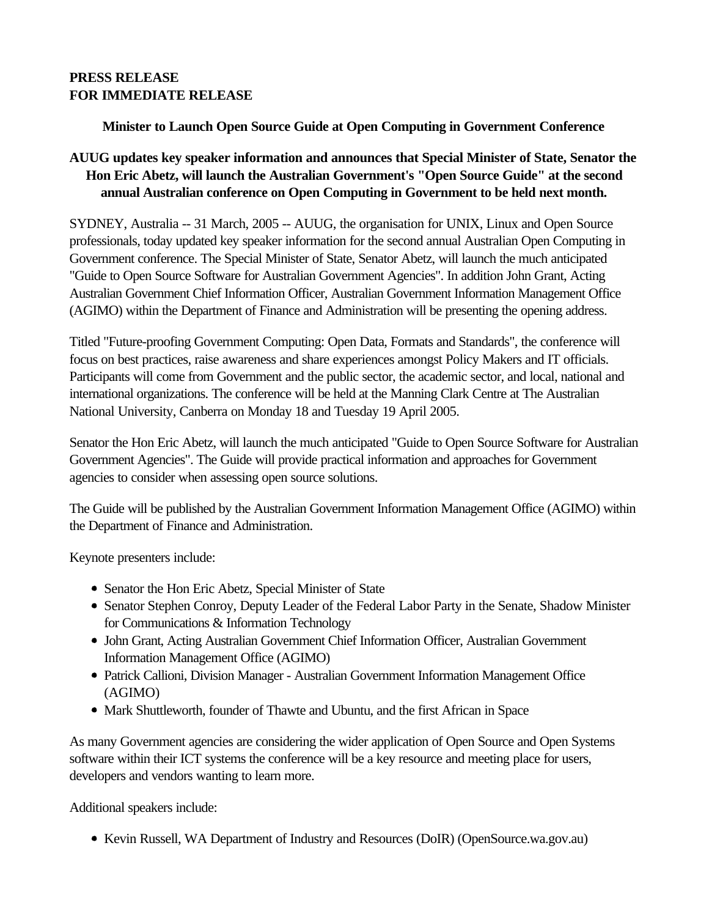# **PRESS RELEASE FOR IMMEDIATE RELEASE**

### **Minister to Launch Open Source Guide at Open Computing in Government Conference**

# **AUUG updates key speaker information and announces that Special Minister of State, Senator the Hon Eric Abetz, will launch the Australian Government's "Open Source Guide" at the second annual Australian conference on Open Computing in Government to be held next month.**

SYDNEY, Australia -- 31 March, 2005 -- AUUG, the organisation for UNIX, Linux and Open Source professionals, today updated key speaker information for the second annual Australian Open Computing in Government conference. The Special Minister of State, Senator Abetz, will launch the much anticipated "Guide to Open Source Software for Australian Government Agencies". In addition John Grant, Acting Australian Government Chief Information Officer, Australian Government Information Management Office (AGIMO) within the Department of Finance and Administration will be presenting the opening address.

Titled "Future-proofing Government Computing: Open Data, Formats and Standards", the conference will focus on best practices, raise awareness and share experiences amongst Policy Makers and IT officials. Participants will come from Government and the public sector, the academic sector, and local, national and international organizations. The conference will be held at the Manning Clark Centre at The Australian National University, Canberra on Monday 18 and Tuesday 19 April 2005.

Senator the Hon Eric Abetz, will launch the much anticipated "Guide to Open Source Software for Australian Government Agencies". The Guide will provide practical information and approaches for Government agencies to consider when assessing open source solutions.

The Guide will be published by the Australian Government Information Management Office (AGIMO) within the Department of Finance and Administration.

Keynote presenters include:

- Senator the Hon Eric Abetz, Special Minister of State
- Senator Stephen Conroy, Deputy Leader of the Federal Labor Party in the Senate, Shadow Minister for Communications & Information Technology
- John Grant, Acting Australian Government Chief Information Officer, Australian Government Information Management Office (AGIMO)
- Patrick Callioni, Division Manager Australian Government Information Management Office (AGIMO)
- Mark Shuttleworth, founder of Thawte and Ubuntu, and the first African in Space

As many Government agencies are considering the wider application of Open Source and Open Systems software within their ICT systems the conference will be a key resource and meeting place for users, developers and vendors wanting to learn more.

Additional speakers include:

• Kevin Russell, WA Department of Industry and Resources (DoIR) (OpenSource.wa.gov.au)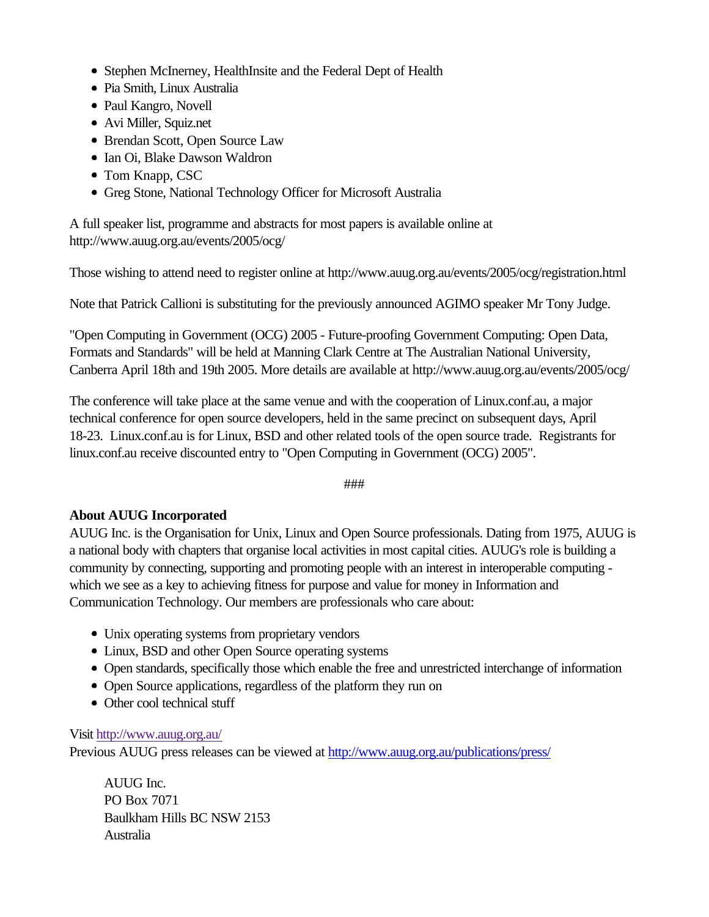- Stephen McInerney, HealthInsite and the Federal Dept of Health
- Pia Smith, Linux Australia
- Paul Kangro, Novell
- Avi Miller, Squiz.net
- Brendan Scott, Open Source Law
- Ian Oi, Blake Dawson Waldron
- Tom Knapp, CSC
- Greg Stone, National Technology Officer for Microsoft Australia

A full speaker list, programme and abstracts for most papers is available online at http://www.auug.org.au/events/2005/ocg/

Those wishing to attend need to register online at http://www.auug.org.au/events/2005/ocg/registration.html

Note that Patrick Callioni is substituting for the previously announced AGIMO speaker Mr Tony Judge.

"Open Computing in Government (OCG) 2005 - Future-proofing Government Computing: Open Data, Formats and Standards" will be held at Manning Clark Centre at The Australian National University, Canberra April 18th and 19th 2005. More details are available at http://www.auug.org.au/events/2005/ocg/

The conference will take place at the same venue and with the cooperation of Linux.conf.au, a major technical conference for open source developers, held in the same precinct on subsequent days, April 18-23. Linux.conf.au is for Linux, BSD and other related tools of the open source trade. Registrants for linux.conf.au receive discounted entry to "Open Computing in Government (OCG) 2005".

###

### **About AUUG Incorporated**

AUUG Inc. is the Organisation for Unix, Linux and Open Source professionals. Dating from 1975, AUUG is a national body with chapters that organise local activities in most capital cities. AUUG's role is building a community by connecting, supporting and promoting people with an interest in interoperable computing which we see as a key to achieving fitness for purpose and value for money in Information and Communication Technology. Our members are professionals who care about:

- Unix operating systems from proprietary vendors
- Linux, BSD and other Open Source operating systems
- Open standards, specifically those which enable the free and unrestricted interchange of information
- Open Source applications, regardless of the platform they run on
- Other cool technical stuff

### Visit http://www.auug.org.au/

Previous AUUG press releases can be viewed at http://www.auug.org.au/publications/press/

AUUG Inc. PO Box 7071 Baulkham Hills BC NSW 2153 Australia